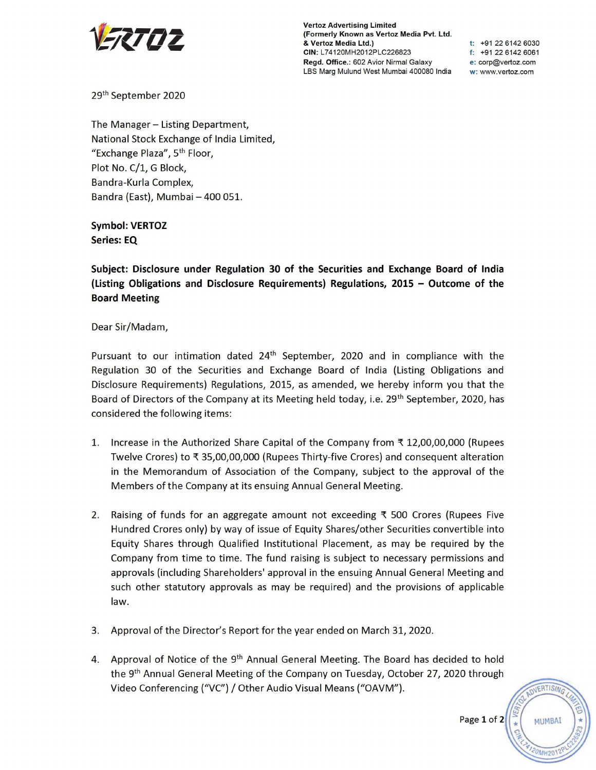

**Vertoz Advertising Limited (Formerly Known as Vertoz Media Pvt. Ltd.**  & **Vertoz Media Ltd.) CIN:** L74120MH2012PLC226823 **Regd. Office.:** 602 Avior Nirmal Galaxy LBS Marg Mulund West Mumbai 400080 India

**t:** +91 22 6142 6030 **f:** +91 22 6142 6061 **e:** corp@vertoz.com **w:** www.vertoz.com

29th September 2020

The Manager - Listing Department, National Stock Exchange of India Limited, "Exchange Plaza", 5th Floor, Plot No. C/1, G Block, Bandra-Kurla Complex, Bandra (East), Mumbai - 400 051.

**Symbol: VERTOZ Series: EQ** 

**Subject: Disclosure under Regulation 30 of the Securities and Exchange Board of India (Listing Obligations and Disclosure Requirements) Regulations, 2015 - Outcome of the Board Meeting** 

Dear Sir/Madam,

Pursuant to our intimation dated  $24<sup>th</sup>$  September, 2020 and in compliance with the Regulation 30 of the Securities and Exchange Board of India (Listing Obligations and Disclosure Requirements) Regulations, 2015, as amended, we hereby inform you that the Board of Directors of the Company at its Meeting held today, i.e. 29<sup>th</sup> September, 2020, has considered the following items:

- 1. Increase in the Authorized Share Capital of the Company from  $\bar{\tau}$  12,00,00,000 (Rupees Twelve Crores) to ₹ 35,00,00,000 (Rupees Thirty-five Crores) and consequent alteration in the Memorandum of Association of the Company, subject to the approval of the Members of the Company at its ensuing Annual General Meeting.
- 2. Raising of funds for an aggregate amount not exceeding  $\bar{\tau}$  500 Crores (Rupees Five Hundred Crores only) by way of issue of Equity Shares/other Securities convertible into Equity Shares through Qualified Institutional Placement, as may be required by the Company from time to time. The fund raising is subject to necessary permissions and approvals (including Shareholders' approval in the ensuing Annual General Meeting and such other statutory approvals as may be required) and the provisions of applicable law.
- 3. Approval of the Director's Report for the year ended on March 31, 2020.
- 4. Approval of Notice of the 9<sup>th</sup> Annual General Meeting. The Board has decided to hold the 9<sup>th</sup> Annual General Meeting of the Company on Tuesday, October 27, 2020 through Video Conferencing ("VC") / Other Audio Visual Means ("OAVM").

Page **1** of 2

VERTISING

**MUMBAI**